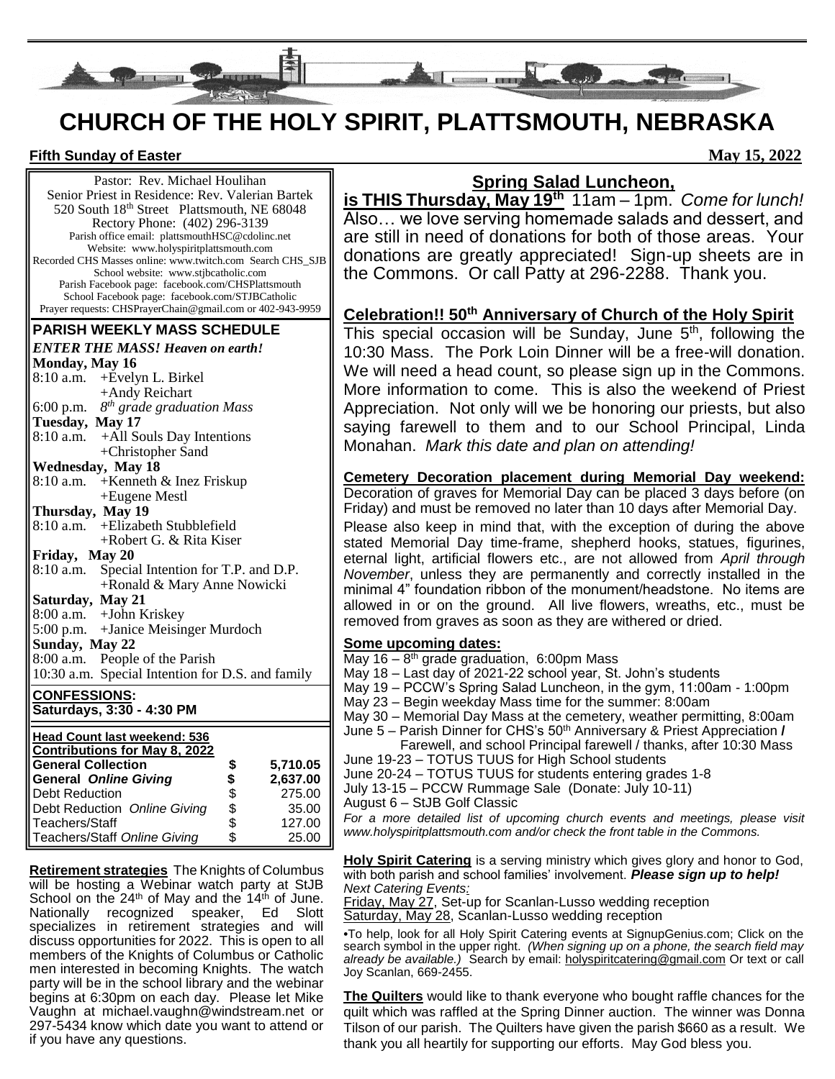

# **CHURCH OF THE HOLY SPIRIT, PLATTSMOUTH, NEBRASKA**

#### **Fifth Sunday of Easter May 15, 2022**

Pastor: Rev. Michael Houlihan Senior Priest in Residence: Rev. Valerian Bartek 520 South 18<sup>th</sup> Street Plattsmouth, NE 68048 Rectory Phone: (402) 296-3139 Parish office email: plattsmouthHSC@cdolinc.net Website: www.holyspiritplattsmouth.com Recorded CHS Masses online: www.twitch.com Search CHS\_SJB School website: www.stjbcatholic.com Parish Facebook page: facebook.com/CHSPlattsmouth School Facebook page: facebook.com/STJBCatholic Prayer requests: CHSPrayerChain@gmail.com or 402-943-9959

#### **PARISH WEEKLY MASS SCHEDULE**

| <b>ENTER THE MASS! Heaven on earth!</b>  |  |  |  |  |
|------------------------------------------|--|--|--|--|
| Monday, May 16                           |  |  |  |  |
| $8:10$ a.m. + Evelyn L. Birkel           |  |  |  |  |
| +Andy Reichart                           |  |  |  |  |
| 6:00 p.m. $8^{th}$ grade graduation Mass |  |  |  |  |
| Tuesday, May 17                          |  |  |  |  |
| $8:10$ a.m. +All Souls Day Intentions    |  |  |  |  |
| +Christopher Sand                        |  |  |  |  |
|                                          |  |  |  |  |

#### **Wednesday, May 18**

| 8:10 a.m. + Kenneth & Inez Friskup |
|------------------------------------|
| +Eugene Mestl                      |
|                                    |

#### **Thursday, May 19** 8:10 a.m. +Elizabeth Stubblefield

+Robert G. & Rita Kiser **Friday, May 20**

8:10 a.m. Special Intention for T.P. and D.P. +Ronald & Mary Anne Nowicki

# **Saturday, May 21**

8:00 a.m. +John Kriskey 5:00 p.m. +Janice Meisinger Murdoch

## **Sunday, May 22**

8:00 a.m. People of the Parish

|  |  | 10:30 a.m. Special Intention for D.S. and family |
|--|--|--------------------------------------------------|
|  |  |                                                  |
|  |  |                                                  |
|  |  |                                                  |
|  |  |                                                  |

#### **CONFESSIONS: Saturdays, 3:30 - 4:30 PM**

| Head Count last weekend: 536         |    |          |  |  |  |
|--------------------------------------|----|----------|--|--|--|
| <b>Contributions for May 8, 2022</b> |    |          |  |  |  |
| <b>General Collection</b>            |    | 5,710.05 |  |  |  |
| <b>General Online Giving</b>         | \$ | 2,637.00 |  |  |  |
| <b>Debt Reduction</b>                | \$ | 275.00   |  |  |  |
| Debt Reduction Online Giving         | \$ | 35.00    |  |  |  |
| Teachers/Staff                       | \$ | 127.00   |  |  |  |
| Teachers/Staff Online Giving         | \$ | 25.00    |  |  |  |

**Retirement strategies** The Knights of Columbus will be hosting a Webinar watch party at StJB School on the  $24<sup>th</sup>$  of May and the  $14<sup>th</sup>$  of June. Nationally recognized speaker, Ed Slott specializes in retirement strategies and will discuss opportunities for 2022. This is open to all members of the Knights of Columbus or Catholic men interested in becoming Knights. The watch party will be in the school library and the webinar begins at 6:30pm on each day. Please let Mike Vaughn at michael.vaughn@windstream.net or 297-5434 know which date you want to attend or if you have any questions.

# **Spring Salad Luncheon,**

**is THIS Thursday, May 19th** 11am – 1pm. *Come for lunch!* Also… we love serving homemade salads and dessert, and are still in need of donations for both of those areas. Your donations are greatly appreciated! Sign-up sheets are in the Commons. Or call Patty at 296-2288. Thank you.

# **Celebration!! 50th Anniversary of Church of the Holy Spirit**

This special occasion will be Sunday, June 5<sup>th</sup>, following the 10:30 Mass. The Pork Loin Dinner will be a free-will donation. We will need a head count, so please sign up in the Commons. More information to come. This is also the weekend of Priest Appreciation. Not only will we be honoring our priests, but also saying farewell to them and to our School Principal, Linda Monahan. *Mark this date and plan on attending!*

**Cemetery Decoration placement during Memorial Day weekend:** Decoration of graves for Memorial Day can be placed 3 days before (on Friday) and must be removed no later than 10 days after Memorial Day. Please also keep in mind that, with the exception of during the above stated Memorial Day time-frame, shepherd hooks, statues, figurines, eternal light, artificial flowers etc., are not allowed from *April through November*, unless they are permanently and correctly installed in the minimal 4" foundation ribbon of the monument/headstone. No items are allowed in or on the ground. All live flowers, wreaths, etc., must be removed from graves as soon as they are withered or dried.

#### **Some upcoming dates:**

- May 16 8<sup>th</sup> grade graduation, 6:00pm Mass
- May 18 Last day of 2021-22 school year, St. John's students

May 19 – PCCW's Spring Salad Luncheon, in the gym, 11:00am - 1:00pm

- May 23 Begin weekday Mass time for the summer: 8:00am
- May 30 Memorial Day Mass at the cemetery, weather permitting, 8:00am
- June 5 Parish Dinner for CHS's 50th Anniversary & Priest Appreciation **/**
- Farewell, and school Principal farewell / thanks, after 10:30 Mass June 19-23 – TOTUS TUUS for High School students
- June 20-24 TOTUS TUUS for students entering grades 1-8
- July 13-15 PCCW Rummage Sale (Donate: July 10-11)
- August 6 StJB Golf Classic

For a more detailed list of upcoming church events and meetings, please visit *www.holyspiritplattsmouth.com and/or check the front table in the Commons.*

**Holy Spirit Catering** is a serving ministry which gives glory and honor to God, with both parish and school families' involvement. *Please sign up to help! Next Catering Events:*

Friday, May 27, Set-up for Scanlan-Lusso wedding reception Saturday, May 28, Scanlan-Lusso wedding reception

**•**To help, look for all Holy Spirit Catering events at SignupGenius.com; Click on the search symbol in the upper right. *(When signing up on a phone, the search field may already be available.)* Search by email: holyspiritcatering@gmail.com Or text or call Joy Scanlan, 669-2455.

**The Quilters** would like to thank everyone who bought raffle chances for the quilt which was raffled at the Spring Dinner auction. The winner was Donna Tilson of our parish. The Quilters have given the parish \$660 as a result. We thank you all heartily for supporting our efforts. May God bless you.